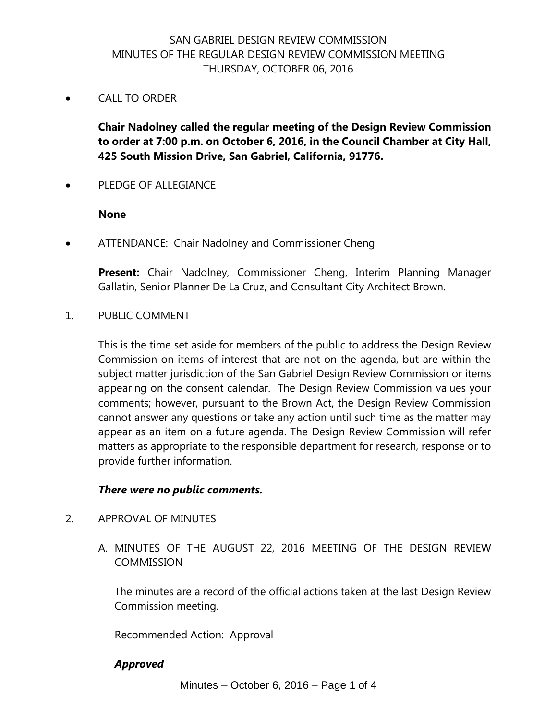# SAN GABRIEL DESIGN REVIEW COMMISSION MINUTES OF THE REGULAR DESIGN REVIEW COMMISSION MEETING THURSDAY, OCTOBER 06, 2016

CALL TO ORDER

**Chair Nadolney called the regular meeting of the Design Review Commission to order at 7:00 p.m. on October 6, 2016, in the Council Chamber at City Hall, 425 South Mission Drive, San Gabriel, California, 91776.**

PLEDGE OF ALLEGIANCE

#### **None**

ATTENDANCE: Chair Nadolney and Commissioner Cheng

**Present:** Chair Nadolney, Commissioner Cheng, Interim Planning Manager Gallatin, Senior Planner De La Cruz, and Consultant City Architect Brown.

1. PUBLIC COMMENT

This is the time set aside for members of the public to address the Design Review Commission on items of interest that are not on the agenda, but are within the subject matter jurisdiction of the San Gabriel Design Review Commission or items appearing on the consent calendar. The Design Review Commission values your comments; however, pursuant to the Brown Act, the Design Review Commission cannot answer any questions or take any action until such time as the matter may appear as an item on a future agenda. The Design Review Commission will refer matters as appropriate to the responsible department for research, response or to provide further information.

### *There were no public comments.*

- 2. APPROVAL OF MINUTES
	- A. MINUTES OF THE AUGUST 22, 2016 MEETING OF THE DESIGN REVIEW COMMISSION

The minutes are a record of the official actions taken at the last Design Review Commission meeting.

Recommended Action: Approval

### *Approved*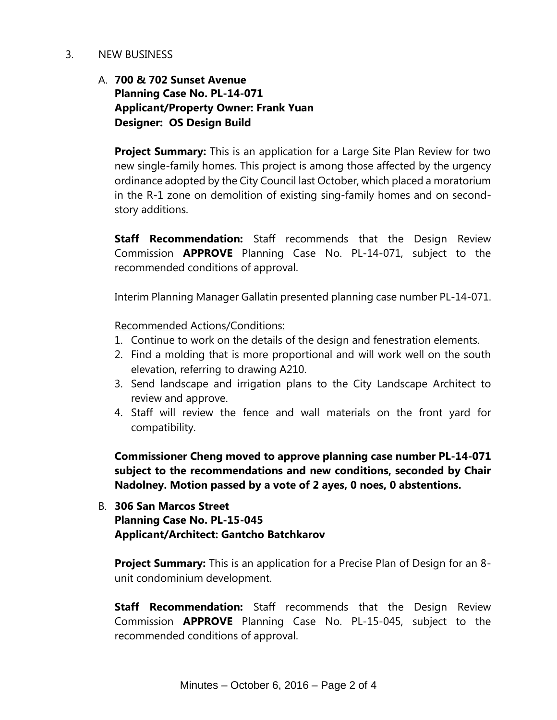#### 3. NEW BUSINESS

# A. **700 & 702 Sunset Avenue Planning Case No. PL-14-071 Applicant/Property Owner: Frank Yuan Designer: OS Design Build**

**Project Summary:** This is an application for a Large Site Plan Review for two new single-family homes. This project is among those affected by the urgency ordinance adopted by the City Council last October, which placed a moratorium in the R-1 zone on demolition of existing sing-family homes and on secondstory additions.

**Staff Recommendation:** Staff recommends that the Design Review Commission **APPROVE** Planning Case No. PL-14-071, subject to the recommended conditions of approval.

Interim Planning Manager Gallatin presented planning case number PL-14-071.

Recommended Actions/Conditions:

- 1. Continue to work on the details of the design and fenestration elements.
- 2. Find a molding that is more proportional and will work well on the south elevation, referring to drawing A210.
- 3. Send landscape and irrigation plans to the City Landscape Architect to review and approve.
- 4. Staff will review the fence and wall materials on the front yard for compatibility.

**Commissioner Cheng moved to approve planning case number PL-14-071 subject to the recommendations and new conditions, seconded by Chair Nadolney. Motion passed by a vote of 2 ayes, 0 noes, 0 abstentions.**

## B. **306 San Marcos Street Planning Case No. PL-15-045 Applicant/Architect: Gantcho Batchkarov**

**Project Summary:** This is an application for a Precise Plan of Design for an 8 unit condominium development.

**Staff Recommendation:** Staff recommends that the Design Review Commission **APPROVE** Planning Case No. PL-15-045, subject to the recommended conditions of approval.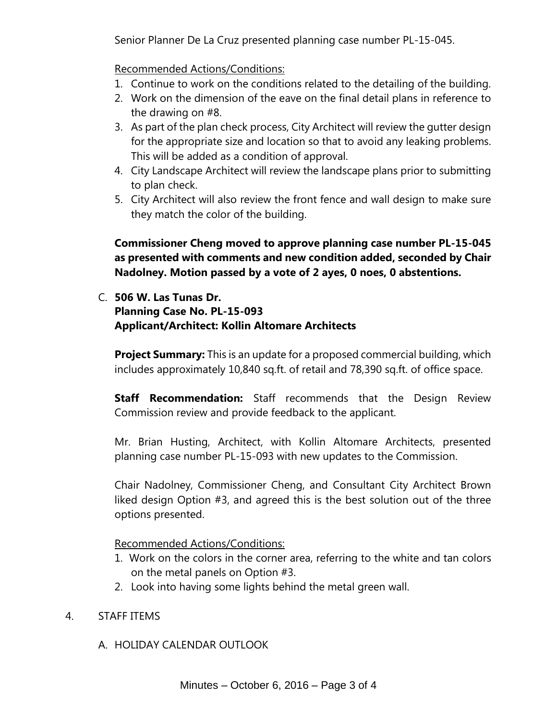Senior Planner De La Cruz presented planning case number PL-15-045.

Recommended Actions/Conditions:

- 1. Continue to work on the conditions related to the detailing of the building.
- 2. Work on the dimension of the eave on the final detail plans in reference to the drawing on #8.
- 3. As part of the plan check process, City Architect will review the gutter design for the appropriate size and location so that to avoid any leaking problems. This will be added as a condition of approval.
- 4. City Landscape Architect will review the landscape plans prior to submitting to plan check.
- 5. City Architect will also review the front fence and wall design to make sure they match the color of the building.

**Commissioner Cheng moved to approve planning case number PL-15-045 as presented with comments and new condition added, seconded by Chair Nadolney. Motion passed by a vote of 2 ayes, 0 noes, 0 abstentions.**

C. **506 W. Las Tunas Dr. Planning Case No. PL-15-093 Applicant/Architect: Kollin Altomare Architects**

**Project Summary:** This is an update for a proposed commercial building, which includes approximately 10,840 sq.ft. of retail and 78,390 sq.ft. of office space.

**Staff Recommendation:** Staff recommends that the Design Review Commission review and provide feedback to the applicant.

Mr. Brian Husting, Architect, with Kollin Altomare Architects, presented planning case number PL-15-093 with new updates to the Commission.

Chair Nadolney, Commissioner Cheng, and Consultant City Architect Brown liked design Option #3, and agreed this is the best solution out of the three options presented.

Recommended Actions/Conditions:

- 1. Work on the colors in the corner area, referring to the white and tan colors on the metal panels on Option #3.
- 2. Look into having some lights behind the metal green wall.

## 4. STAFF ITEMS

A. HOLIDAY CALENDAR OUTLOOK